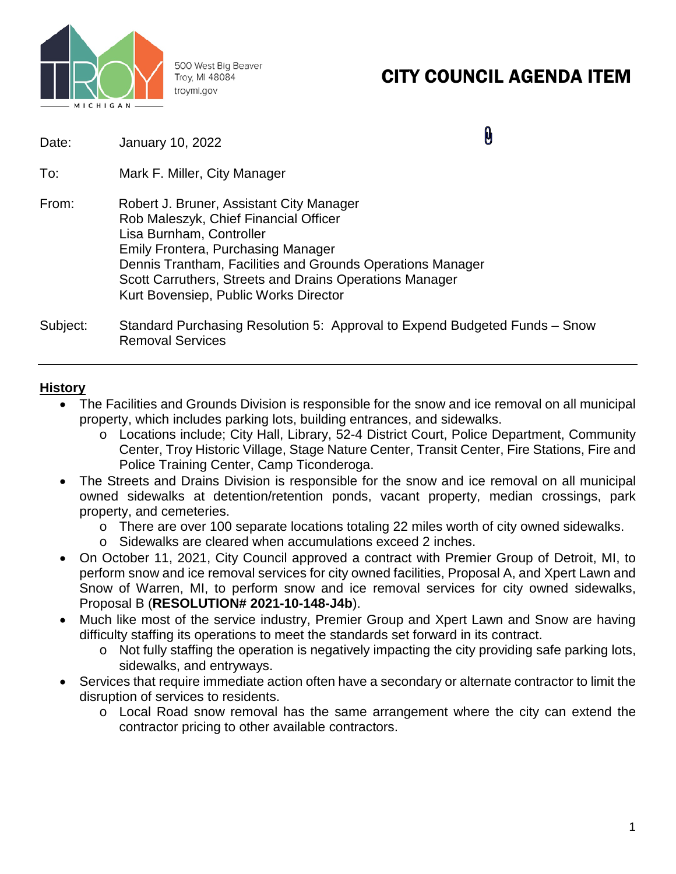

500 West Big Beaver Troy, MI 48084 troymi.gov

# CITY COUNCIL AGENDA ITEM

| Date: | January 10, 2022 |
|-------|------------------|
|-------|------------------|

0

- To: Mark F. Miller, City Manager
- From: Robert J. Bruner, Assistant City Manager Rob Maleszyk, Chief Financial Officer Lisa Burnham, Controller Emily Frontera, Purchasing Manager Dennis Trantham, Facilities and Grounds Operations Manager Scott Carruthers, Streets and Drains Operations Manager Kurt Bovensiep, Public Works Director
- Subject: Standard Purchasing Resolution 5: Approval to Expend Budgeted Funds Snow Removal Services

### **History**

- The Facilities and Grounds Division is responsible for the snow and ice removal on all municipal property, which includes parking lots, building entrances, and sidewalks.
	- o Locations include; City Hall, Library, 52-4 District Court, Police Department, Community Center, Troy Historic Village, Stage Nature Center, Transit Center, Fire Stations, Fire and Police Training Center, Camp Ticonderoga.
- The Streets and Drains Division is responsible for the snow and ice removal on all municipal owned sidewalks at detention/retention ponds, vacant property, median crossings, park property, and cemeteries.
	- o There are over 100 separate locations totaling 22 miles worth of city owned sidewalks.
	- o Sidewalks are cleared when accumulations exceed 2 inches.
- On October 11, 2021, City Council approved a contract with Premier Group of Detroit, MI, to perform snow and ice removal services for city owned facilities, Proposal A, and Xpert Lawn and Snow of Warren, MI, to perform snow and ice removal services for city owned sidewalks, Proposal B (**RESOLUTION# 2021-10-148-J4b**).
- Much like most of the service industry, Premier Group and Xpert Lawn and Snow are having difficulty staffing its operations to meet the standards set forward in its contract.
	- o Not fully staffing the operation is negatively impacting the city providing safe parking lots, sidewalks, and entryways.
- Services that require immediate action often have a secondary or alternate contractor to limit the disruption of services to residents.
	- o Local Road snow removal has the same arrangement where the city can extend the contractor pricing to other available contractors.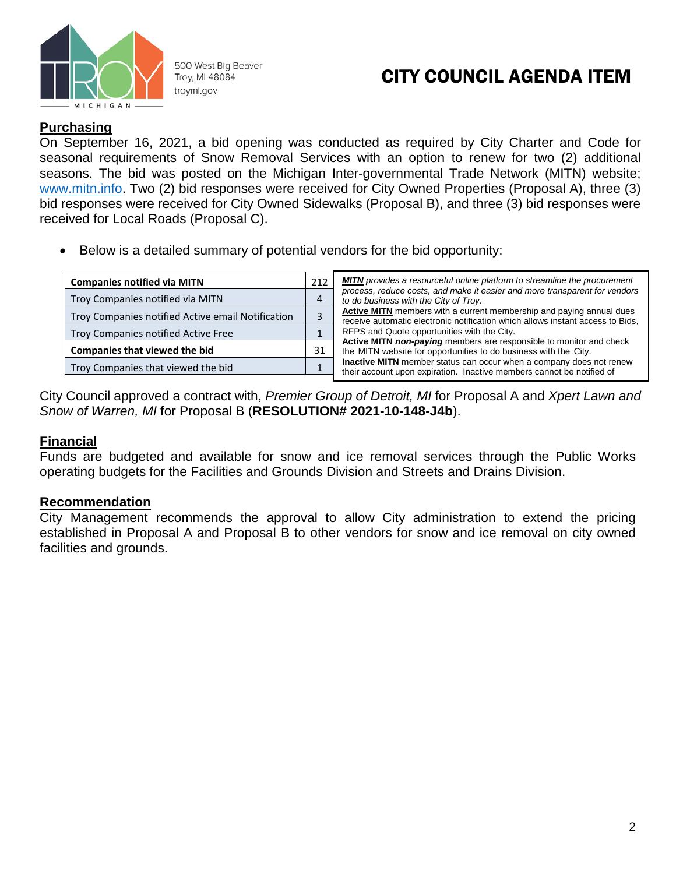

500 West Big Beaver Troy, MI 48084 troymi.gov

## CITY COUNCIL AGENDA ITEM

### **Purchasing**

On September 16, 2021, a bid opening was conducted as required by City Charter and Code for seasonal requirements of Snow Removal Services with an option to renew for two (2) additional seasons. The bid was posted on the Michigan Inter-governmental Trade Network (MITN) website; [www.mitn.info.](http://www.mitn.info/) Two (2) bid responses were received for City Owned Properties (Proposal A), three (3) bid responses were received for City Owned Sidewalks (Proposal B), and three (3) bid responses were received for Local Roads (Proposal C).

• Below is a detailed summary of potential vendors for the bid opportunity:

| <b>Companies notified via MITN</b>                | 212 | <b>MITN</b> provides a resourceful online platform to streamline the procurement                                                                       |
|---------------------------------------------------|-----|--------------------------------------------------------------------------------------------------------------------------------------------------------|
| Troy Companies notified via MITN                  |     | process, reduce costs, and make it easier and more transparent for vendors<br>to do business with the City of Troy.                                    |
| Troy Companies notified Active email Notification |     | Active MITN members with a current membership and paying annual dues<br>receive automatic electronic notification which allows instant access to Bids, |
| Troy Companies notified Active Free               |     | RFPS and Quote opportunities with the City.                                                                                                            |
| Companies that viewed the bid                     | 31  | Active MITN non-paying members are responsible to monitor and check<br>the MITN website for opportunities to do business with the City.                |
| Troy Companies that viewed the bid                |     | <b>Inactive MITN</b> member status can occur when a company does not renew<br>their account upon expiration. Inactive members cannot be notified of    |

City Council approved a contract with, *Premier Group of Detroit, MI* for Proposal A and *Xpert Lawn and Snow of Warren, MI* for Proposal B (**RESOLUTION# 2021-10-148-J4b**).

### **Financial**

Funds are budgeted and available for snow and ice removal services through the Public Works operating budgets for the Facilities and Grounds Division and Streets and Drains Division.

### **Recommendation**

City Management recommends the approval to allow City administration to extend the pricing established in Proposal A and Proposal B to other vendors for snow and ice removal on city owned facilities and grounds.